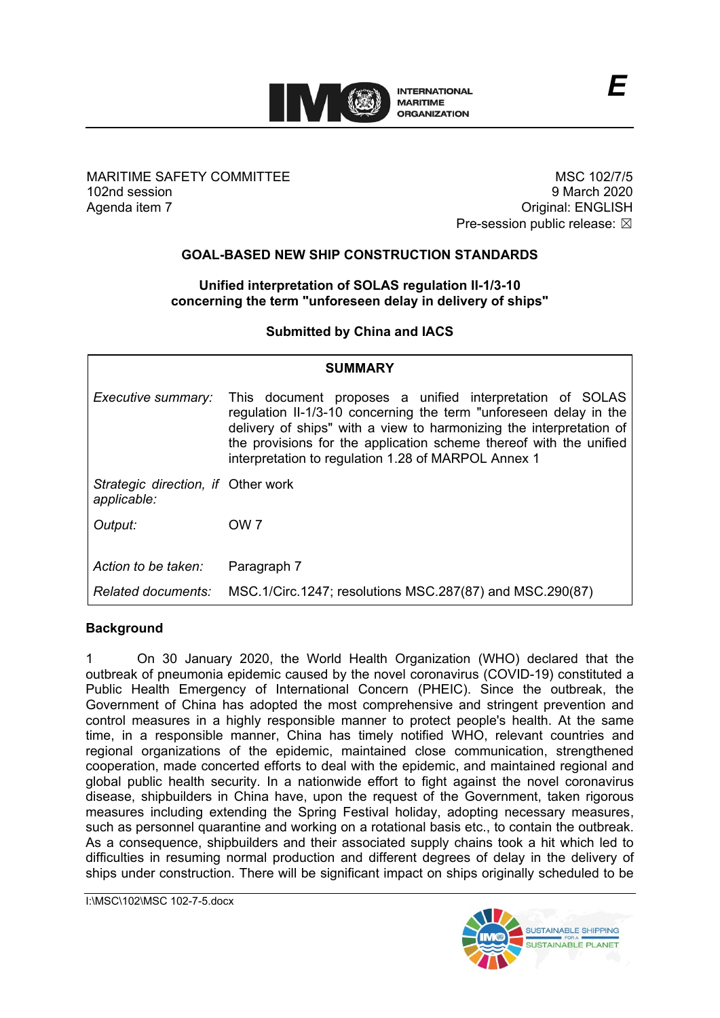

MARITIME SAFETY COMMITTEE 102nd session Agenda item 7

MSC 102/7/5 9 March 2020 Original: ENGLISH Pre-session public release:  $\boxtimes$ 

# **GOAL-BASED NEW SHIP CONSTRUCTION STANDARDS**

### **Unified interpretation of SOLAS regulation II-1/3-10 concerning the term "unforeseen delay in delivery of ships"**

**Submitted by China and IACS**

| <b>SUMMARY</b>                                    |                                                                                                                                                                                                                                                                                                                                   |
|---------------------------------------------------|-----------------------------------------------------------------------------------------------------------------------------------------------------------------------------------------------------------------------------------------------------------------------------------------------------------------------------------|
| Executive summary:                                | This document proposes a unified interpretation of SOLAS<br>regulation II-1/3-10 concerning the term "unforeseen delay in the<br>delivery of ships" with a view to harmonizing the interpretation of<br>the provisions for the application scheme thereof with the unified<br>interpretation to regulation 1.28 of MARPOL Annex 1 |
| Strategic direction, if Other work<br>applicable: |                                                                                                                                                                                                                                                                                                                                   |
| Output:                                           | OW <sub>7</sub>                                                                                                                                                                                                                                                                                                                   |
| Action to be taken:                               | Paragraph 7                                                                                                                                                                                                                                                                                                                       |
| Related documents:                                | MSC.1/Circ.1247; resolutions MSC.287(87) and MSC.290(87)                                                                                                                                                                                                                                                                          |

# **Background**

1 On 30 January 2020, the World Health Organization (WHO) declared that the outbreak of pneumonia epidemic caused by the novel coronavirus (COVID-19) constituted a Public Health Emergency of International Concern (PHEIC). Since the outbreak, the Government of China has adopted the most comprehensive and stringent prevention and control measures in a highly responsible manner to protect people's health. At the same time, in a responsible manner, China has timely notified WHO, relevant countries and regional organizations of the epidemic, maintained close communication, strengthened cooperation, made concerted efforts to deal with the epidemic, and maintained regional and global public health security. In a nationwide effort to fight against the novel coronavirus disease, shipbuilders in China have, upon the request of the Government, taken rigorous measures including extending the Spring Festival holiday, adopting necessary measures, such as personnel quarantine and working on a rotational basis etc., to contain the outbreak. As a consequence, shipbuilders and their associated supply chains took a hit which led to difficulties in resuming normal production and different degrees of delay in the delivery of ships under construction. There will be significant impact on ships originally scheduled to be

I:\MSC\102\MSC 102-7-5.docx

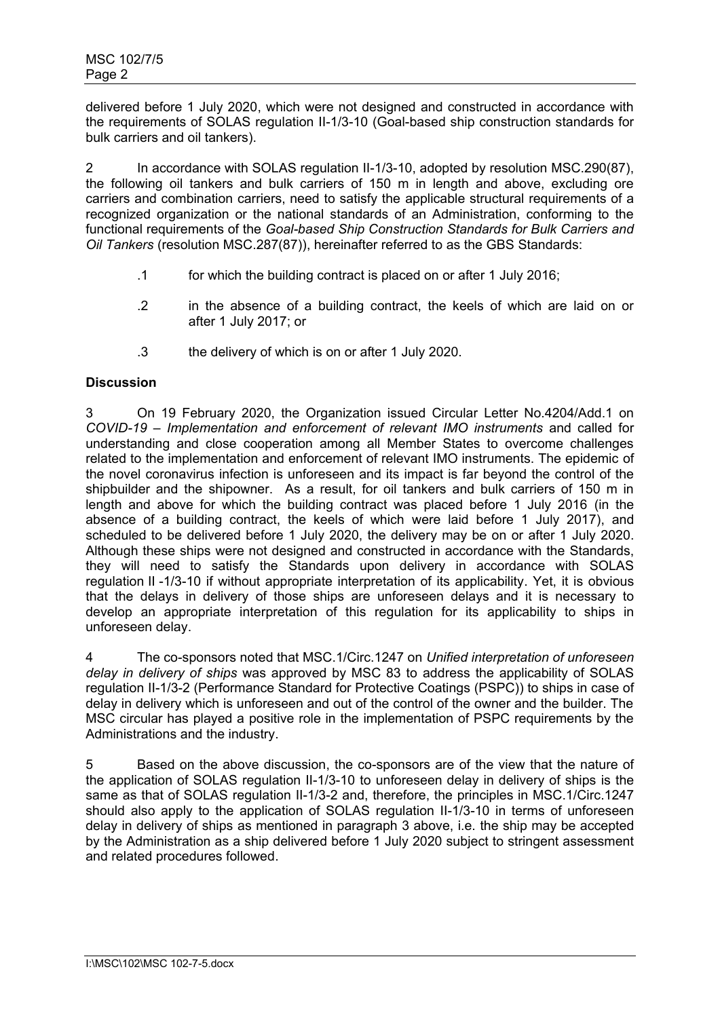delivered before 1 July 2020, which were not designed and constructed in accordance with the requirements of SOLAS regulation II-1/3-10 (Goal-based ship construction standards for bulk carriers and oil tankers).

2 In accordance with SOLAS regulation II-1/3-10, adopted by resolution MSC.290(87), the following oil tankers and bulk carriers of 150 m in length and above, excluding ore carriers and combination carriers, need to satisfy the applicable structural requirements of a recognized organization or the national standards of an Administration, conforming to the functional requirements of the *Goal-based Ship Construction Standards for Bulk Carriers and Oil Tankers* (resolution MSC.287(87)), hereinafter referred to as the GBS Standards:

- .1 for which the building contract is placed on or after 1 July 2016;
- .2 in the absence of a building contract, the keels of which are laid on or after 1 July 2017; or
- .3 the delivery of which is on or after 1 July 2020.

## **Discussion**

3 On 19 February 2020, the Organization issued Circular Letter No.4204/Add.1 on *COVID-19 – Implementation and enforcement of relevant IMO instruments* and called for understanding and close cooperation among all Member States to overcome challenges related to the implementation and enforcement of relevant IMO instruments. The epidemic of the novel coronavirus infection is unforeseen and its impact is far beyond the control of the shipbuilder and the shipowner. As a result, for oil tankers and bulk carriers of 150 m in length and above for which the building contract was placed before 1 July 2016 (in the absence of a building contract, the keels of which were laid before 1 July 2017), and scheduled to be delivered before 1 July 2020, the delivery may be on or after 1 July 2020. Although these ships were not designed and constructed in accordance with the Standards, they will need to satisfy the Standards upon delivery in accordance with SOLAS regulation II -1/3-10 if without appropriate interpretation of its applicability. Yet, it is obvious that the delays in delivery of those ships are unforeseen delays and it is necessary to develop an appropriate interpretation of this regulation for its applicability to ships in unforeseen delay.

4 The co-sponsors noted that MSC.1/Circ.1247 on *Unified interpretation of unforeseen delay in delivery of ships* was approved by MSC 83 to address the applicability of SOLAS regulation II-1/3-2 (Performance Standard for Protective Coatings (PSPC)) to ships in case of delay in delivery which is unforeseen and out of the control of the owner and the builder. The MSC circular has played a positive role in the implementation of PSPC requirements by the Administrations and the industry.

5 Based on the above discussion, the co-sponsors are of the view that the nature of the application of SOLAS regulation II-1/3-10 to unforeseen delay in delivery of ships is the same as that of SOLAS regulation II-1/3-2 and, therefore, the principles in MSC.1/Circ.1247 should also apply to the application of SOLAS regulation II-1/3-10 in terms of unforeseen delay in delivery of ships as mentioned in paragraph 3 above, i.e. the ship may be accepted by the Administration as a ship delivered before 1 July 2020 subject to stringent assessment and related procedures followed.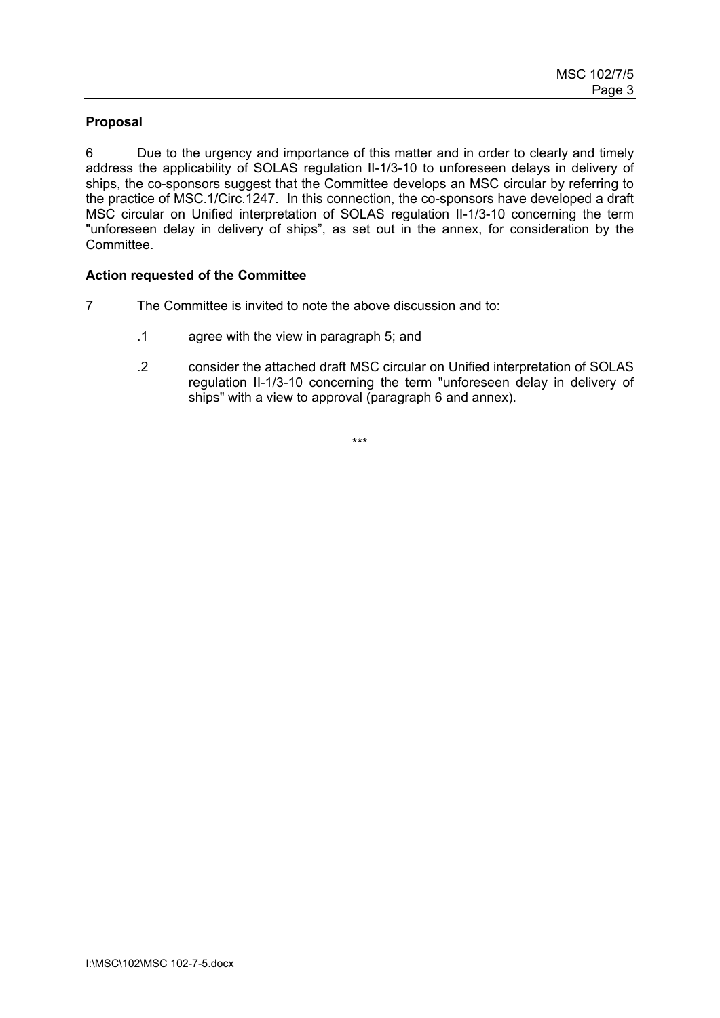## **Proposal**

6 Due to the urgency and importance of this matter and in order to clearly and timely address the applicability of SOLAS regulation II-1/3-10 to unforeseen delays in delivery of ships, the co-sponsors suggest that the Committee develops an MSC circular by referring to the practice of MSC.1/Circ.1247. In this connection, the co-sponsors have developed a draft MSC circular on Unified interpretation of SOLAS regulation II-1/3-10 concerning the term "unforeseen delay in delivery of ships", as set out in the annex, for consideration by the Committee.

### **Action requested of the Committee**

- 7 The Committee is invited to note the above discussion and to:
	- .1 agree with the view in paragraph 5; and
	- .2 consider the attached draft MSC circular on Unified interpretation of SOLAS regulation II-1/3-10 concerning the term "unforeseen delay in delivery of ships" with a view to approval (paragraph 6 and annex).

\*\*\*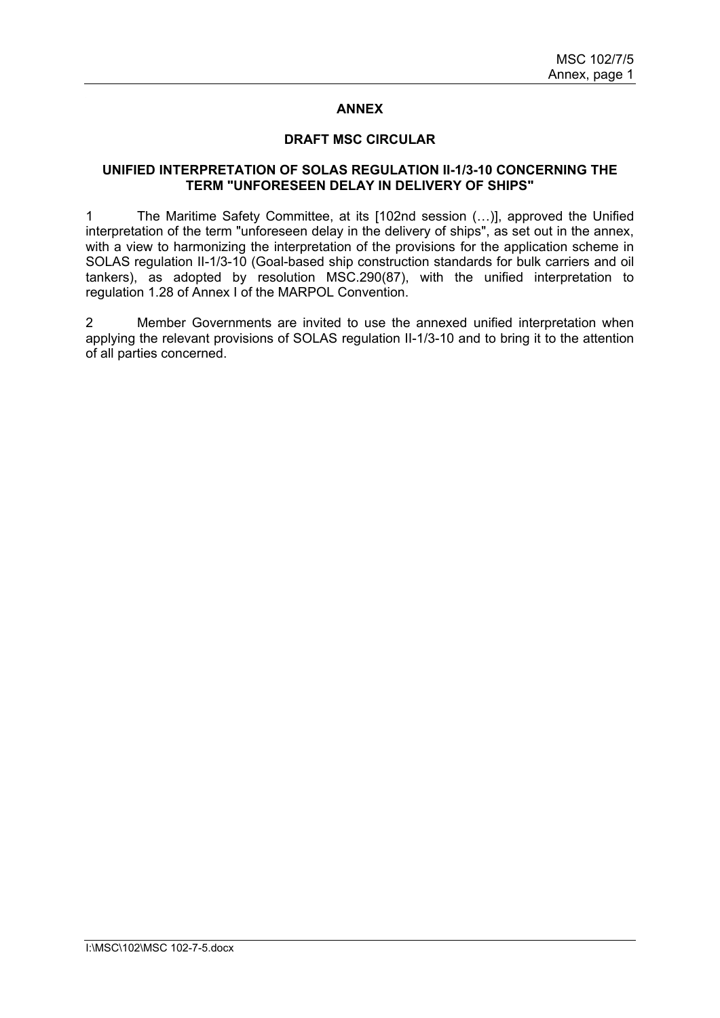#### **ANNEX**

#### **DRAFT MSC CIRCULAR**

#### **UNIFIED INTERPRETATION OF SOLAS REGULATION II-1/3-10 CONCERNING THE TERM "UNFORESEEN DELAY IN DELIVERY OF SHIPS"**

1 The Maritime Safety Committee, at its [102nd session (…)], approved the Unified interpretation of the term "unforeseen delay in the delivery of ships", as set out in the annex, with a view to harmonizing the interpretation of the provisions for the application scheme in SOLAS regulation II-1/3-10 (Goal-based ship construction standards for bulk carriers and oil tankers), as adopted by resolution MSC.290(87), with the unified interpretation to regulation 1.28 of Annex I of the MARPOL Convention.

2 Member Governments are invited to use the annexed unified interpretation when applying the relevant provisions of SOLAS regulation II-1/3-10 and to bring it to the attention of all parties concerned.